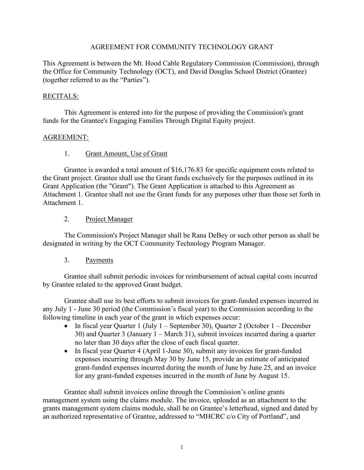### AGREEMENT FOR COMMUNITY TECHNOLOGY GRANT

This Agreement is between the Mt. Hood Cable Regulatory Commission (Commission), through the Office for Community Technology (OCT), and David Douglas School District (Grantee) (together referred to as the "Parties").

## RECITALS:

This Agreement is entered into for the purpose of providing the Commission's grant funds for the Grantee's Engaging Families Through Digital Equity project.

## AGREEMENT:

## 1. Grant Amount, Use of Grant

Grantee is awarded a total amount of \$16,176.83 for specific equipment costs related to the Grant project. Grantee shall use the Grant funds exclusively for the purposes outlined in its Grant Application (the "Grant"). The Grant Application is attached to this Agreement as Attachment 1. Grantee shall not use the Grant funds for any purposes other than those set forth in Attachment 1.

## 2. Project Manager

The Commission's Project Manager shall be Rana DeBey or such other person as shall be designated in writing by the OCT Community Technology Program Manager.

## 3. Payments

Grantee shall submit periodic invoices for reimbursement of actual capital costs incurred by Grantee related to the approved Grant budget.

Grantee shall use its best efforts to submit invoices for grant-funded expenses incurred in any July 1 - June 30 period (the Commission's fiscal year) to the Commission according to the following timeline in each year of the grant in which expenses occur:

- In fiscal year Quarter 1 (July 1 September 30), Quarter 2 (October 1 December 30) and Quarter 3 (January 1 – March 31), submit invoices incurred during a quarter no later than 30 days after the close of each fiscal quarter.
- In fiscal year Quarter 4 (April 1-June 30), submit any invoices for grant-funded expenses incurring through May 30 by June 15, provide an estimate of anticipated grant-funded expenses incurred during the month of June by June 25, and an invoice for any grant-funded expenses incurred in the month of June by August 15.

Grantee shall submit invoices online through the Commission's online grants management system using the claims module. The invoice, uploaded as an attachment to the grants management system claims module, shall be on Grantee's letterhead, signed and dated by an authorized representative of Grantee, addressed to "MHCRC c/o City of Portland", and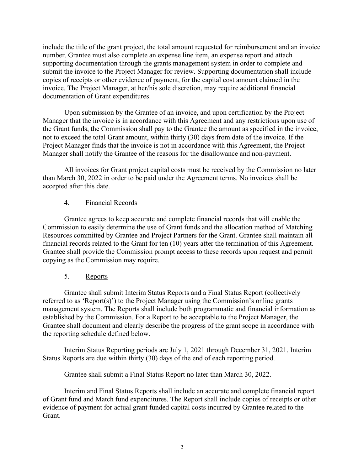include the title of the grant project, the total amount requested for reimbursement and an invoice number. Grantee must also complete an expense line item, an expense report and attach supporting documentation through the grants management system in order to complete and submit the invoice to the Project Manager for review. Supporting documentation shall include copies of receipts or other evidence of payment, for the capital cost amount claimed in the invoice. The Project Manager, at her/his sole discretion, may require additional financial documentation of Grant expenditures.

Upon submission by the Grantee of an invoice, and upon certification by the Project Manager that the invoice is in accordance with this Agreement and any restrictions upon use of the Grant funds, the Commission shall pay to the Grantee the amount as specified in the invoice, not to exceed the total Grant amount, within thirty (30) days from date of the invoice. If the Project Manager finds that the invoice is not in accordance with this Agreement, the Project Manager shall notify the Grantee of the reasons for the disallowance and non-payment.

All invoices for Grant project capital costs must be received by the Commission no later than March 30, 2022 in order to be paid under the Agreement terms. No invoices shall be accepted after this date.

## 4. Financial Records

Grantee agrees to keep accurate and complete financial records that will enable the Commission to easily determine the use of Grant funds and the allocation method of Matching Resources committed by Grantee and Project Partners for the Grant. Grantee shall maintain all financial records related to the Grant for ten (10) years after the termination of this Agreement. Grantee shall provide the Commission prompt access to these records upon request and permit copying as the Commission may require.

## 5. Reports

Grantee shall submit Interim Status Reports and a Final Status Report (collectively referred to as 'Report(s)') to the Project Manager using the Commission's online grants management system. The Reports shall include both programmatic and financial information as established by the Commission. For a Report to be acceptable to the Project Manager, the Grantee shall document and clearly describe the progress of the grant scope in accordance with the reporting schedule defined below.

Interim Status Reporting periods are July 1, 2021 through December 31, 2021. Interim Status Reports are due within thirty (30) days of the end of each reporting period.

Grantee shall submit a Final Status Report no later than March 30, 2022.

Interim and Final Status Reports shall include an accurate and complete financial report of Grant fund and Match fund expenditures. The Report shall include copies of receipts or other evidence of payment for actual grant funded capital costs incurred by Grantee related to the Grant.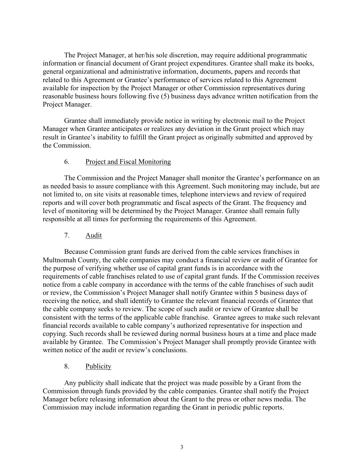The Project Manager, at her/his sole discretion, may require additional programmatic information or financial document of Grant project expenditures. Grantee shall make its books, general organizational and administrative information, documents, papers and records that related to this Agreement or Grantee's performance of services related to this Agreement available for inspection by the Project Manager or other Commission representatives during reasonable business hours following five (5) business days advance written notification from the Project Manager.

Grantee shall immediately provide notice in writing by electronic mail to the Project Manager when Grantee anticipates or realizes any deviation in the Grant project which may result in Grantee's inability to fulfill the Grant project as originally submitted and approved by the Commission.

## 6. Project and Fiscal Monitoring

The Commission and the Project Manager shall monitor the Grantee's performance on an as needed basis to assure compliance with this Agreement. Such monitoring may include, but are not limited to, on site visits at reasonable times, telephone interviews and review of required reports and will cover both programmatic and fiscal aspects of the Grant. The frequency and level of monitoring will be determined by the Project Manager. Grantee shall remain fully responsible at all times for performing the requirements of this Agreement.

## 7. Audit

Because Commission grant funds are derived from the cable services franchises in Multnomah County, the cable companies may conduct a financial review or audit of Grantee for the purpose of verifying whether use of capital grant funds is in accordance with the requirements of cable franchises related to use of capital grant funds. If the Commission receives notice from a cable company in accordance with the terms of the cable franchises of such audit or review, the Commission's Project Manager shall notify Grantee within 5 business days of receiving the notice, and shall identify to Grantee the relevant financial records of Grantee that the cable company seeks to review. The scope of such audit or review of Grantee shall be consistent with the terms of the applicable cable franchise. Grantee agrees to make such relevant financial records available to cable company's authorized representative for inspection and copying. Such records shall be reviewed during normal business hours at a time and place made available by Grantee. The Commission's Project Manager shall promptly provide Grantee with written notice of the audit or review's conclusions.

## 8. Publicity

Any publicity shall indicate that the project was made possible by a Grant from the Commission through funds provided by the cable companies. Grantee shall notify the Project Manager before releasing information about the Grant to the press or other news media. The Commission may include information regarding the Grant in periodic public reports.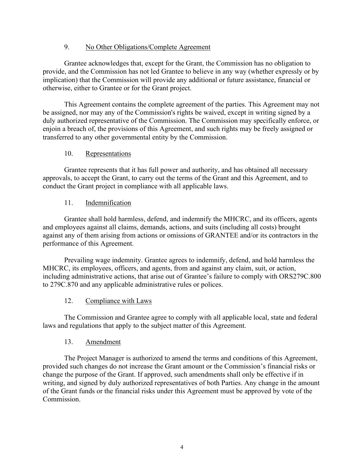## 9. No Other Obligations/Complete Agreement

Grantee acknowledges that, except for the Grant, the Commission has no obligation to provide, and the Commission has not led Grantee to believe in any way (whether expressly or by implication) that the Commission will provide any additional or future assistance, financial or otherwise, either to Grantee or for the Grant project.

This Agreement contains the complete agreement of the parties. This Agreement may not be assigned, nor may any of the Commission's rights be waived, except in writing signed by a duly authorized representative of the Commission. The Commission may specifically enforce, or enjoin a breach of, the provisions of this Agreement, and such rights may be freely assigned or transferred to any other governmental entity by the Commission.

## 10. Representations

Grantee represents that it has full power and authority, and has obtained all necessary approvals, to accept the Grant, to carry out the terms of the Grant and this Agreement, and to conduct the Grant project in compliance with all applicable laws.

## 11. Indemnification

Grantee shall hold harmless, defend, and indemnify the MHCRC, and its officers, agents and employees against all claims, demands, actions, and suits (including all costs) brought against any of them arising from actions or omissions of GRANTEE and/or its contractors in the performance of this Agreement.

Prevailing wage indemnity. Grantee agrees to indemnify, defend, and hold harmless the MHCRC, its employees, officers, and agents, from and against any claim, suit, or action, including administrative actions, that arise out of Grantee's failure to comply with ORS279C.800 to 279C.870 and any applicable administrative rules or polices.

## 12. Compliance with Laws

The Commission and Grantee agree to comply with all applicable local, state and federal laws and regulations that apply to the subject matter of this Agreement.

## 13. Amendment

The Project Manager is authorized to amend the terms and conditions of this Agreement, provided such changes do not increase the Grant amount or the Commission's financial risks or change the purpose of the Grant. If approved, such amendments shall only be effective if in writing, and signed by duly authorized representatives of both Parties. Any change in the amount of the Grant funds or the financial risks under this Agreement must be approved by vote of the Commission.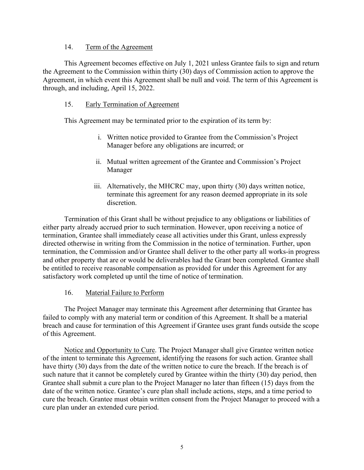### 14. Term of the Agreement

This Agreement becomes effective on July 1, 2021 unless Grantee fails to sign and return the Agreement to the Commission within thirty (30) days of Commission action to approve the Agreement, in which event this Agreement shall be null and void. The term of this Agreement is through, and including, April 15, 2022.

## 15. Early Termination of Agreement

This Agreement may be terminated prior to the expiration of its term by:

- i. Written notice provided to Grantee from the Commission's Project Manager before any obligations are incurred; or
- ii. Mutual written agreement of the Grantee and Commission's Project Manager
- iii. Alternatively, the MHCRC may, upon thirty (30) days written notice, terminate this agreement for any reason deemed appropriate in its sole discretion.

Termination of this Grant shall be without prejudice to any obligations or liabilities of either party already accrued prior to such termination. However, upon receiving a notice of termination, Grantee shall immediately cease all activities under this Grant, unless expressly directed otherwise in writing from the Commission in the notice of termination. Further, upon termination, the Commission and/or Grantee shall deliver to the other party all works-in progress and other property that are or would be deliverables had the Grant been completed. Grantee shall be entitled to receive reasonable compensation as provided for under this Agreement for any satisfactory work completed up until the time of notice of termination.

## 16. Material Failure to Perform

The Project Manager may terminate this Agreement after determining that Grantee has failed to comply with any material term or condition of this Agreement. It shall be a material breach and cause for termination of this Agreement if Grantee uses grant funds outside the scope of this Agreement.

Notice and Opportunity to Cure. The Project Manager shall give Grantee written notice of the intent to terminate this Agreement, identifying the reasons for such action. Grantee shall have thirty (30) days from the date of the written notice to cure the breach. If the breach is of such nature that it cannot be completely cured by Grantee within the thirty (30) day period, then Grantee shall submit a cure plan to the Project Manager no later than fifteen (15) days from the date of the written notice. Grantee's cure plan shall include actions, steps, and a time period to cure the breach. Grantee must obtain written consent from the Project Manager to proceed with a cure plan under an extended cure period.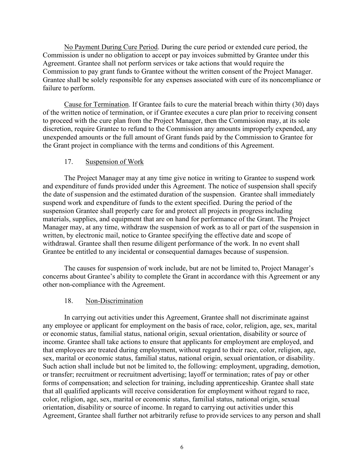No Payment During Cure Period. During the cure period or extended cure period, the Commission is under no obligation to accept or pay invoices submitted by Grantee under this Agreement. Grantee shall not perform services or take actions that would require the Commission to pay grant funds to Grantee without the written consent of the Project Manager. Grantee shall be solely responsible for any expenses associated with cure of its noncompliance or failure to perform.

Cause for Termination. If Grantee fails to cure the material breach within thirty (30) days of the written notice of termination, or if Grantee executes a cure plan prior to receiving consent to proceed with the cure plan from the Project Manager, then the Commission may, at its sole discretion, require Grantee to refund to the Commission any amounts improperly expended, any unexpended amounts or the full amount of Grant funds paid by the Commission to Grantee for the Grant project in compliance with the terms and conditions of this Agreement.

### 17. Suspension of Work

The Project Manager may at any time give notice in writing to Grantee to suspend work and expenditure of funds provided under this Agreement. The notice of suspension shall specify the date of suspension and the estimated duration of the suspension. Grantee shall immediately suspend work and expenditure of funds to the extent specified. During the period of the suspension Grantee shall properly care for and protect all projects in progress including materials, supplies, and equipment that are on hand for performance of the Grant. The Project Manager may, at any time, withdraw the suspension of work as to all or part of the suspension in written, by electronic mail, notice to Grantee specifying the effective date and scope of withdrawal. Grantee shall then resume diligent performance of the work. In no event shall Grantee be entitled to any incidental or consequential damages because of suspension.

The causes for suspension of work include, but are not be limited to, Project Manager's concerns about Grantee's ability to complete the Grant in accordance with this Agreement or any other non-compliance with the Agreement.

### 18. Non-Discrimination

In carrying out activities under this Agreement, Grantee shall not discriminate against any employee or applicant for employment on the basis of race, color, religion, age, sex, marital or economic status, familial status, national origin, sexual orientation, disability or source of income. Grantee shall take actions to ensure that applicants for employment are employed, and that employees are treated during employment, without regard to their race, color, religion, age, sex, marital or economic status, familial status, national origin, sexual orientation, or disability. Such action shall include but not be limited to, the following: employment, upgrading, demotion, or transfer; recruitment or recruitment advertising; layoff or termination; rates of pay or other forms of compensation; and selection for training, including apprenticeship. Grantee shall state that all qualified applicants will receive consideration for employment without regard to race, color, religion, age, sex, marital or economic status, familial status, national origin, sexual orientation, disability or source of income. In regard to carrying out activities under this Agreement, Grantee shall further not arbitrarily refuse to provide services to any person and shall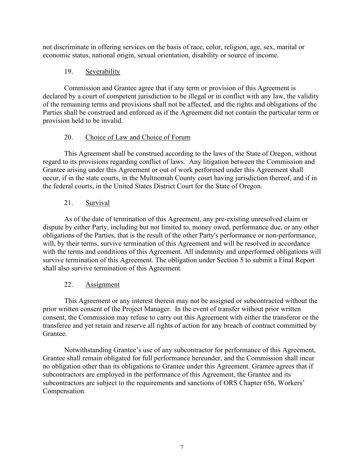not discriminate in offering services on the basis of race, color, religion, age, sex, marital or economic status, national origin, sexual orientation, disability or source of income.

## 19. Severability

Commission and Grantee agree that if any term or provision of this Agreement is declared by a court of competent jurisdiction to be illegal or in conflict with any law, the validity of the remaining terms and provisions shall not be affected, and the rights and obligations of the Parties shall be construed and enforced as if the Agreement did not contain the particular term or provision held to be invalid.

## 20. Choice of Law and Choice of Forum

This Agreement shall be construed according to the laws of the State of Oregon, without regard to its provisions regarding conflict of laws. Any litigation between the Commission and Grantee arising under this Agreement or out of work performed under this Agreement shall occur, if in the state courts, in the Multnomah County court having jurisdiction thereof, and if in the federal courts, in the United States District Court for the State of Oregon.

## 21. Survival

As of the date of termination of this Agreement, any pre-existing unresolved claim or dispute by either Party, including but not limited to, money owed, performance due, or any other obligations of the Parties, that is the result of the other Party's performance or non-performance, will, by their terms, survive termination of this Agreement and will be resolved in accordance with the terms and conditions of this Agreement. All indemnity and unperformed obligations will survive termination of this Agreement. The obligation under Section 5 to submit a Final Report shall also survive termination of this Agreement.

## 22. Assignment

This Agreement or any interest therein may not be assigned or subcontracted without the prior written consent of the Project Manager. In the event of transfer without prior written consent, the Commission may refuse to carry out this Agreement with either the transferor or the transferee and yet retain and reserve all rights of action for any breach of contract committed by Grantee.

Notwithstanding Grantee's use of any subcontractor for performance of this Agreement, Grantee shall remain obligated for full performance hereunder, and the Commission shall incur no obligation other than its obligations to Grantee under this Agreement. Grantee agrees that if subcontractors are employed in the performance of this Agreement, the Grantee and its subcontractors are subject to the requirements and sanctions of ORS Chapter 656, Workers' Compensation.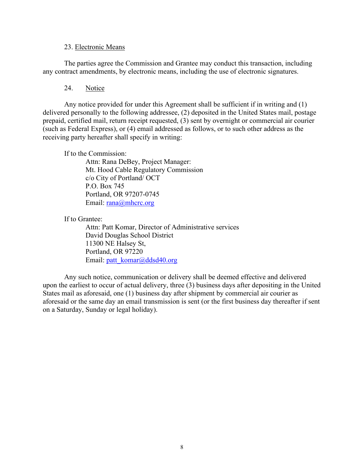### 23. Electronic Means

The parties agree the Commission and Grantee may conduct this transaction, including any contract amendments, by electronic means, including the use of electronic signatures.

## 24. Notice

Any notice provided for under this Agreement shall be sufficient if in writing and (1) delivered personally to the following addressee, (2) deposited in the United States mail, postage prepaid, certified mail, return receipt requested, (3) sent by overnight or commercial air courier (such as Federal Express), or (4) email addressed as follows, or to such other address as the receiving party hereafter shall specify in writing:

If to the Commission:

Attn: Rana DeBey, Project Manager: Mt. Hood Cable Regulatory Commission c/o City of Portland/ OCT P.O. Box 745 Portland, OR 97207-0745 Email: [rana@mhcrc.org](mailto:rana@mhcrc.org)

If to Grantee:

Attn: Patt Komar, Director of Administrative services David Douglas School District 11300 NE Halsey St, Portland, OR 97220 Email: [patt\\_komar@ddsd40.org](mailto:patt_komar@ddsd40.org)

Any such notice, communication or delivery shall be deemed effective and delivered upon the earliest to occur of actual delivery, three (3) business days after depositing in the United States mail as aforesaid, one (1) business day after shipment by commercial air courier as aforesaid or the same day an email transmission is sent (or the first business day thereafter if sent on a Saturday, Sunday or legal holiday).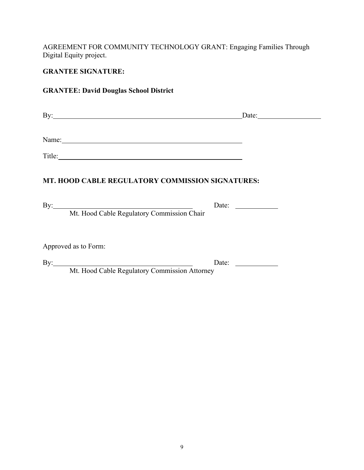AGREEMENT FOR COMMUNITY TECHNOLOGY GRANT: Engaging Families Through Digital Equity project.

## **GRANTEE SIGNATURE:**

## **GRANTEE: David Douglas School District**

| By:   | Date: |
|-------|-------|
|       |       |
| Name: |       |

Title: The contract of the contract of the contract of the contract of the contract of the contract of the contract of the contract of the contract of the contract of the contract of the contract of the contract of the con

## **MT. HOOD CABLE REGULATORY COMMISSION SIGNATURES:**

By: Date:

Mt. Hood Cable Regulatory Commission Chair

Approved as to Form:

By: Date:

Mt. Hood Cable Regulatory Commission Attorney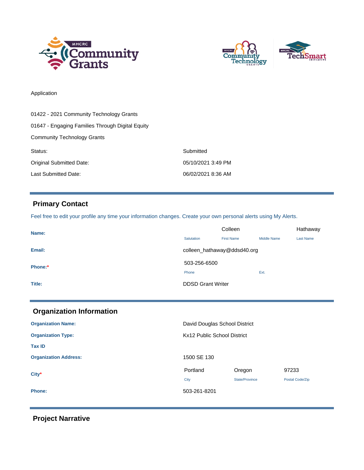



### Application

| 01422 - 2021 Community Technology Grants         |                    |  |
|--------------------------------------------------|--------------------|--|
| 01647 - Engaging Families Through Digital Equity |                    |  |
| <b>Community Technology Grants</b>               |                    |  |
| Status:                                          | Submitted          |  |
| Original Submitted Date:                         | 05/10/2021 3:49 PM |  |
| Last Submitted Date:                             | 06/02/2021 8:36 AM |  |

## **Primary Contact**

Feel free to edit your profile any time your information changes. Create your own personal alerts using My Alerts.

| Name:   | Colleen                     |                   |                    | Hathaway         |
|---------|-----------------------------|-------------------|--------------------|------------------|
|         | Salutation                  | <b>First Name</b> | <b>Middle Name</b> | <b>Last Name</b> |
| Email:  | colleen_hathaway@ddsd40.org |                   |                    |                  |
| Phone:* | 503-256-6500                |                   |                    |                  |
|         | Phone                       |                   | Ext.               |                  |
| Title:  | <b>DDSD Grant Writer</b>    |                   |                    |                  |
|         |                             |                   |                    |                  |

| <b>Organization Information</b> |                               |                |                 |
|---------------------------------|-------------------------------|----------------|-----------------|
| <b>Organization Name:</b>       | David Douglas School District |                |                 |
| <b>Organization Type:</b>       | Kx12 Public School District   |                |                 |
| <b>Tax ID</b>                   |                               |                |                 |
| <b>Organization Address:</b>    | 1500 SE 130                   |                |                 |
| $City*$                         | Portland                      | Oregon         | 97233           |
|                                 | City                          | State/Province | Postal Code/Zip |
| <b>Phone:</b>                   | 503-261-8201                  |                |                 |

 **Project Narrative**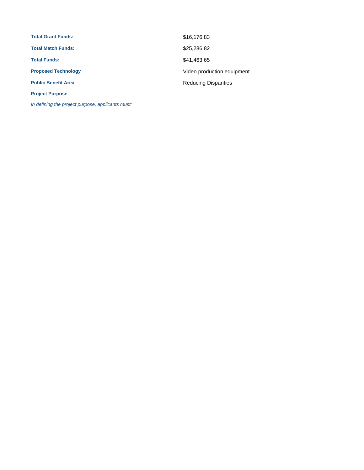| <b>Total Grant Funds:</b>  | \$16,176.83                 |
|----------------------------|-----------------------------|
| <b>Total Match Funds:</b>  | \$25,286.82                 |
| <b>Total Funds:</b>        | \$41,463.65                 |
| <b>Proposed Technology</b> | Video production equipment  |
| <b>Public Benefit Area</b> | <b>Reducing Disparities</b> |
| <b>Project Purpose</b>     |                             |

In defining the project purpose, applicants must: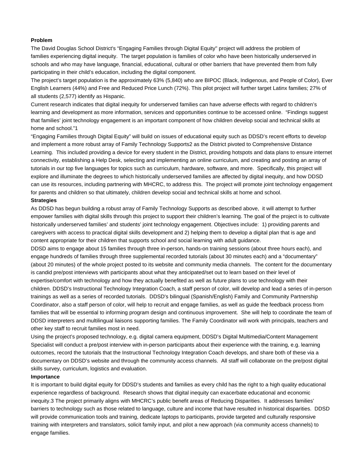#### **Problem**

The David Douglas School District's "Engaging Families through Digital Equity'' project will address the problem of families experiencing digital inequity. The target population is families of color who have been historically underserved in schools and who may have language, financial, educational, cultural or other barriers that have prevented them from fully participating in their child's education, including the digital component.

The project's target population is the approximately 63% (5,840) who are BIPOC (Black, Indigenous, and People of Color), Ever English Learners (44%) and Free and Reduced Price Lunch (72%). This pilot project will further target Latinx families; 27% of all students (2,577) identify as Hispanic.

Current research indicates that digital inequity for underserved families can have adverse effects with regard to children's learning and development as more information, services and opportunities continue to be accessed online. "Findings suggest that families' joint technology engagement is an important component of how children develop social and technical skills at home and school."1

"Engaging Families through Digital Equity" will build on issues of educational equity such as DDSD's recent efforts to develop and implement a more robust array of Family Technology Supports2 as the District pivoted to Comprehensive Distance Learning. This included providing a device for every student in the District, providing hotspots and data plans to ensure internet connectivity, establishing a Help Desk, selecting and implementing an online curriculum, and creating and posting an array of tutorials in our top five languages for topics such as curriculum, hardware, software, and more. Specifically, this project will explore and illuminate the degrees to which historically underserved families are affected by digital inequity, and how DDSD can use its resources, including partnering with MHCRC, to address this. The project will promote joint technology engagement for parents and children so that ultimately, children develop social and technical skills at home and school.

### **Strategies**

As DDSD has begun building a robust array of Family Technology Supports as described above, it will attempt to further empower families with digital skills through this project to support their children's learning. The goal of the project is to cultivate historically underserved families' and students' joint technology engagement. Objectives include: 1) providing parents and caregivers with access to practical digital skills development and 2) helping them to develop a digital plan that is age and content appropriate for their children that supports school and social learning with adult guidance.

DDSD aims to engage about 15 families through three in-person, hands-on training sessions (about three hours each), and engage hundreds of families through three supplemental recorded tutorials (about 30 minutes each) and a "documentary" (about 20 minutes) of the whole project posted to its website and community media channels. The content for the documentary is candid pre/post interviews with participants about what they anticipated/set out to learn based on their level of expertise/comfort with technology and how they actually benefited as well as future plans to use technology with their children. DDSD's Instructional Technology Integration Coach, a staff person of color, will develop and lead a series of in-person trainings as well as a series of recorded tutorials. DDSD's bilingual (Spanish/English) Family and Community Partnership Coordinator, also a staff person of color, will help to recruit and engage families, as well as guide the feedback process from families that will be essential to informing program design and continuous improvement. She will help to coordinate the team of DDSD interpreters and multilingual liaisons supporting families. The Family Coordinator will work with principals, teachers and other key staff to recruit families most in need.

Using the project's proposed technology, e.g. digital camera equipment, DDSD's Digital Multimedia/Content Management Specialist will conduct a pre/post interview with in-person participants about their experience with the training, e.g. learning outcomes, record the tutorials that the Instructional Technology Integration Coach develops, and share both of these via a documentary on DDSD's website and through the community access channels. All staff will collaborate on the pre/post digital skills survey, curriculum, logistics and evaluation.

### **Importance**

It is important to build digital equity for DDSD's students and families as every child has the right to a high quality educational experience regardless of background. Research shows that digital inequity can exacerbate educational and economic inequity.3 The project primarily aligns with MHCRC's public benefit areas of Reducing Disparities. It addresses families' barriers to technology such as those related to language, culture and income that have resulted in historical disparities. DDSD will provide communication tools and training, dedicate laptops to participants, provide targeted and culturally responsive training with interpreters and translators, solicit family input, and pilot a new approach (via community access channels) to engage families.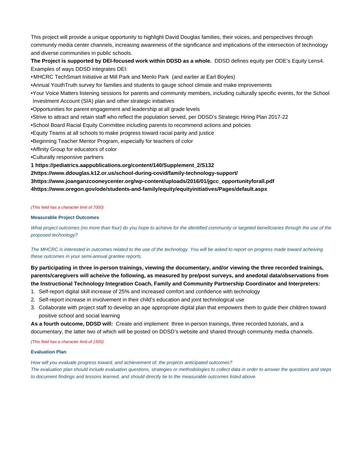This project will provide a unique opportunity to highlight David Douglas families, their voices, and perspectives through community media center channels, increasing awareness of the significance and implications of the intersection of technology and diverse communities in public schools.

**The Project is supported by DEI-focused work within DDSD as a whole.** DDSD defines equity per ODE's Equity Lens4. Examples of ways DDSD integrates DEI:

•MHCRC TechSmart Initiative at Mill Park and Menlo Park (and earlier at Earl Boyles)

•Annual YouthTruth survey for families and students to gauge school climate and make improvements

•Your Voice Matters listening sessions for parents and community members, including culturally specific events, for the School Investment Account (SIA) plan and other strategic initiatives

•Opportunities for parent engagement and leadership at all grade levels

•Strive to attract and retain staff who reflect the population served, per DDSD's Strategic Hiring Plan 2017-22

•School Board Racial Equity Committee including parents to recommend actions and policies

•Equity Teams at all schools to make progress toward racial parity and justice

•Beginning Teacher Mentor Program, especially for teachers of color

•Affinity Group for educators of color

•Culturally responsive partners

**1 [https://pediatrics.aappublications.org/content/140/Supplement\\_2/S132](https://pediatrics.aappublications.org/content/140/Supplement_2/S132)**

**[2https://www.ddouglas.k12.or.us/school-during-covid/family-technology-support/](https://www.ddouglas.k12.or.us/school-during-covid/family-technology-support/)**

**[3https://www.joanganzcooneycenter.org/wp-content/uploads/2016/01/jgcc\\_opportunityforall.pdf](https://www.joanganzcooneycenter.org/wp-content/uploads/2016/01/jgcc_opportunityforall.pdf)**

**[4https://www.oregon.gov/ode/students-and-family/equity/equityinitiatives/Pages/default.aspx](https://www.oregon.gov/ode/students-and-family/equity/equityinitiatives/Pages/default.aspx)**

#### (This field has a character limit of 7000)

#### **Measurable Project Outcomes**

What project outcomes (no more than four) do you hope to achieve for the identified community or targeted beneficiaries through the use of the proposed technology?

The MHCRC is interested in outcomes related to the use of the technology. You will be asked to report on progress made toward acheiving these outcomes in your semi-annual grantee reports.

**By participating in three in-person trainings, viewing the documentary, and/or viewing the three recorded trainings, parents/caregivers will acheive the following, as measured by pre/post surveys, and anedotal data/observations from the Instructional Technology Integration Coach, Family and Community Partnership Coordinator and Interpreters:** 

- 1. Self-report digital skill increase of 25% and increased comfort and confidence with technology
- 2. Self-report increase in involvement in their child's education and joint technological use
- 3. Collaborate with project staff to develop an age appropriate digital plan that empowers them to guide their children toward positive school and social learning

**As a fourth outcome, DDSD will:** Create and implement three in-person trainings, three recorded tutorials, and a documentary, the latter two of which will be posted on DDSD's website and shared through community media channels.

(This field has a character limit of 1500)

#### **Evaluation Plan**

How will you evaluate progress toward, and achievement of, the projects anticipated outcomes? The evaluation plan should include evaluation questions, strategies or methodologies to collect data in order to answer the questions and steps to document findings and lessons learned, and should directly tie to the measurable outcomes listed above.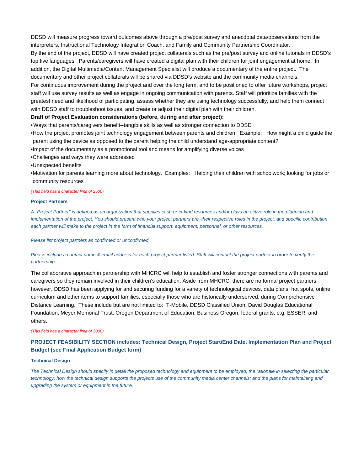DDSD will measure progress toward outcomes above through a pre/post survey and anecdotal data/observations from the interpreters, Instructional Technology Integration Coach, and Family and Community Partnership Coordinator. By the end of the project, DDSD will have created project collaterals such as the pre/post survey and online tutorials in DDSD's top five languages. Parents/caregivers will have created a digital plan with their children for joint engagement at home. In addition, the Digital Multimedia/Content Management Specialist will produce a documentary of the entire project. The documentary and other project collaterals will be shared via DDSD's website and the community media channels. For continuous improvement during the project and over the long term, and to be positioned to offer future workshops, project staff will use survey results as well as engage in ongoing communication with parents. Staff will prioritize families with the greatest need and likelihood of participating, assess whether they are using technology successfully, and help them connect with DDSD staff to troubleshoot issues, and create or adjust their digital plan with their children.

### **Draft of Project Evaluation considerations (before, during and after project):**

•Ways that parents/caregivers benefit--tangible skills as well as stronger connection to DDSD

•How the project promotes joint technology engagement between parents and children. Example: How might a child guide the parent using the device as opposed to the parent helping the child understand age-appropriate content?

•Impact of the documentary as a promotional tool and means for amplifying diverse voices

- •Challenges and ways they were addressed
- •Unexpected benefits

•Motivation for parents learning more about technology. Examples: Helping their children with schoolwork; looking for jobs or community resources

#### (This field has a character limit of 2500)

#### **Project Partners**

A "Project Partner" is defined as an organization that supplies cash or in-kind resources and/or plays an active role in the planning and implementation of the project. You should present who your project partners are, their respective roles in the project, and specific contribution each partner will make to the project in the form of financial support, equipment, personnel, or other resources.

Please list project partners as confirmed or unconfirmed.

### Please include a contact name & email address for each project partner listed. Staff will contact the project partner in order to verify the partnership.

The collaborative approach in partnership with MHCRC will help to establish and foster stronger connections with parents and caregivers so they remain involved in their children's education. Aside from MHCRC, there are no formal project partners; however, DDSD has been applying for and securing funding for a variety of technological devices, data plans, hot spots, online curriculum and other items to support families, especially those who are historically underserved, during Comprehensive Distance Learning. These include but are not limited to: T-Mobile, DDSD Classified Union, David Douglas Educational Foundation, Meyer Memorial Trust, Oregon Department of Education, Business Oregon, federal grants, e.g. ESSER, and others.

#### (This field has a character limit of 3000)

### **PROJECT FEASIBILITY SECTION includes: Technical Design, Project Start/End Date, Implementation Plan and Project Budget (see Final Application Budget form)**

#### **Technical Design**

The Technical Design should specify in detail the proposed technology and equipment to be employed; the rationale in selecting the particular technology; how the technical design supports the projects use of the community media center channels; and the plans for maintaining and upgrading the system or equipment in the future.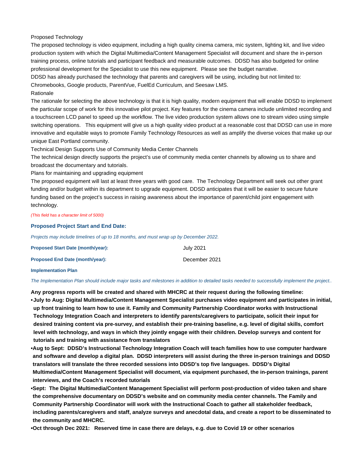#### Proposed Technology

The proposed technology is video equipment, including a high quality cinema camera, mic system, lighting kit, and live video production system with which the Digital Multimedia/Content Management Specialist will document and share the in-person training process, online tutorials and participant feedback and measurable outcomes. DDSD has also budgeted for online professional development for the Specialist to use this new equipment. Please see the budget narrative.

DDSD has already purchased the technology that parents and caregivers will be using, including but not limited to:

Chromebooks, Google products, ParentVue, FuelEd Curriculum, and Seesaw LMS.

#### Rationale

The rationale for selecting the above technology is that it is high quality, modern equipment that will enable DDSD to implement the particular scope of work for this innovative pilot project. Key features for the cinema camera include unlimited recording and a touchscreen LCD panel to speed up the workflow. The live video production system allows one to stream video using simple switching operations. This equipment will give us a high quality video product at a reasonable cost that DDSD can use in more innovative and equitable ways to promote Family Technology Resources as well as amplify the diverse voices that make up our unique East Portland community.

Technical Design Supports Use of Community Media Center Channels

The technical design directly supports the project's use of community media center channels by allowing us to share and broadcast the documentary and tutorials.

Plans for maintaining and upgrading equipment

The proposed equipment will last at least three years with good care. The Technology Department will seek out other grant funding and/or budget within its department to upgrade equipment. DDSD anticipates that it will be easier to secure future funding based on the project's success in raising awareness about the importance of parent/child joint engagement with technology.

(This field has a character limit of 5000)

#### **Proposed Project Start and End Date:**

Projects may include timelines of up to 18 months, and must wrap up by December 2022.

| <b>Proposed Start Date (month/year):</b> | July 2021     |
|------------------------------------------|---------------|
| Proposed End Date (month/year):          | December 2021 |
| <b>Implementation Plan</b>               |               |

The Implementation Plan should include major tasks and milestones in addition to detailed tasks needed to successfully implement the project..

**Any progress reports will be created and shared with MHCRC at their request during the following timeline: July to Aug: Digital Multimedia/Content Management Specialist purchases video equipment and participates in initial, • up front training to learn how to use it. Family and Community Partnership Coordinator works with Instructional Technology Integration Coach and interpreters to identify parents/caregivers to participate, solicit their input for desired training content via pre-survey, and establish their pre-training baseline, e.g. level of digital skills, comfort level with technology, and ways in which they jointly engage with their children. Develop surveys and content for tutorials and training with assistance from translators** 

**Aug to Sept: DDSD's Instructional Technology Integration Coach will teach families how to use computer hardware • and software and develop a digital plan. DDSD interpreters will assist during the three in-person trainings and DDSD translators will translate the three recorded sessions into DDSD's top five languages. DDSD's Digital Multimedia/Content Management Specialist will document, via equipment purchased, the in-person trainings, parent interviews, and the Coach's recorded tutorials**

**Sept: The Digital Multimedia/Content Management Specialist will perform post-production of video taken and share • the comprehensive documentary on DDSD's website and on community media center channels. The Family and Community Partnership Coordinator will work with the Instructional Coach to gather all stakeholder feedback, including parents/caregivers and staff, analyze surveys and anecdotal data, and create a report to be disseminated to the community and MHCRC.**

**•Oct through Dec 2021: Reserved time in case there are delays, e.g. due to Covid 19 or other scenarios**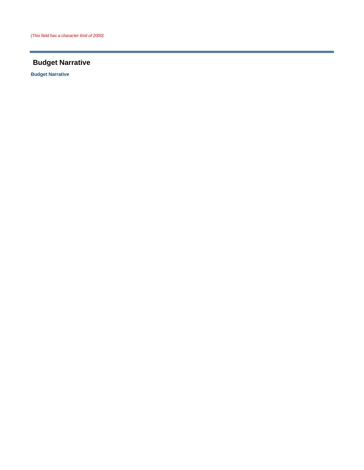## **Budget Narrative**

**Budget Narrative**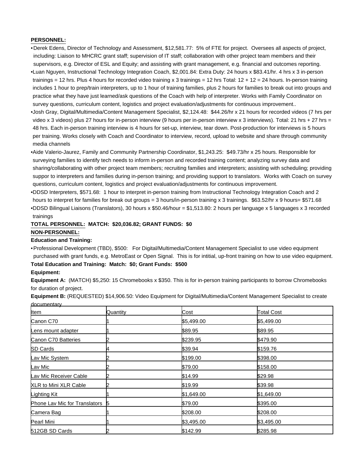### **PERSONNEL:**

•Derek Edens, Director of Technology and Assessment, \$12,581.77: 5% of FTE for project. Oversees all aspects of project, including: Liaison to MHCRC grant staff; supervision of IT staff; collaboration with other project team members and their supervisors, e.g. Director of ESL and Equity; and assisting with grant management, e.g. financial and outcomes reporting. •Luan Nguyen, Instructional Technology Integration Coach, \$2,001.84: Extra Duty: 24 hours x \$83.41/hr. 4 hrs x 3 in-person trainings = 12 hrs. Plus 4 hours for recorded video training x 3 trainings = 12 hrs Total: 12 + 12 = 24 hours. In-person training includes 1 hour to prep/train interpreters, up to 1 hour of training families, plus 2 hours for families to break out into groups and practice what they have just learned/ask questions of the Coach with help of interpreter. Works with Family Coordinator on survey questions, curriculum content, logistics and project evaluation/adjustments for continuous improvement..

•Josh Gray, Digital/Multimedia/Content Management Specialist, \$2,124.48: \$44.26/hr x 21 hours for recorded videos (7 hrs per video x 3 videos) plus 27 hours for in-person interview (9 hours per in-person interview x 3 interviews). Total: 21 hrs + 27 hrs = 48 hrs. Each in-person training interview is 4 hours for set-up, interview, tear down. Post-production for interviews is 5 hours per training. Works closely with Coach and Coordinator to interview, record, upload to website and share through community media channels

•Aide Valerio-Jaurez, Family and Community Partnership Coordinator, \$1,243.25: \$49.73/hr x 25 hours. Responsible for surveying families to identify tech needs to inform in-person and recorded training content; analyzing survey data and sharing/collaborating with other project team members; recruiting families and interpreters; assisting with scheduling; providing suppor to interpreters and families during in-person training; and providing support to translators. Works with Coach on survey questions, curriculum content, logistics and project evaluation/adjustments for continuous improvement.

DDSD Interpreters, \$571.68: 1 hour to interpret in-person training from Instructional Technology Integration Coach and 2 • hours to interpret for families for break out groups = 3 hours/in-person training x 3 trainings. \$63.52/hr x 9 hours= \$571.68 DDSD Bilingual Liaisons (Translators), 30 hours x \$50.46/hour = \$1,513.80: 2 hours per language x 5 languages x 3 recorded • trainings

### **TOTAL PERSONNEL: MATCH: \$20,036.82; GRANT FUNDS: \$0**

### **NON-PERSONNEL:**

### **Education and Training:**

• Professional Development (TBD), \$500: For Digital/Multimedia/Content Management Specialist to use video equipment purchased with grant funds, e.g. MetroEast or Open Signal. This is for intitial, up-front training on how to use video equipment. **Total Education and Training: Match: \$0; Grant Funds: \$500**

### **Equipment:**

**Equipment A:** (MATCH) \$5,250: 15 Chromebooks x \$350. This is for in-person training participants to borrow Chromebooks for duration of project.

**Equipment B:** (REQUESTED) \$14,906.50: Video Equipment for Digital/Multimedia/Content Management Specialist to create documentary

| ltem                          | Quantity | Cost       | <b>Total Cost</b> |
|-------------------------------|----------|------------|-------------------|
| Canon C70                     |          | \$5,499.00 | \$5,499.00        |
| Lens mount adapter            |          | \$89.95    | \$89.95           |
| Canon C70 Batteries           |          | \$239.95   | \$479.90          |
| <b>SD Cards</b>               |          | \$39.94    | \$159.76          |
| Lav Mic System                |          | \$199.00   | \$398.00          |
| Lav Mic                       |          | \$79.00    | \$158.00          |
| Lav Mic Receiver Cable        |          | \$14.99    | \$29.98           |
| <b>XLR to Mini XLR Cable</b>  |          | \$19.99    | \$39.98           |
| Lighting Kit                  |          | \$1,649.00 | \$1,649.00        |
| Phone Lav Mic for Translators |          | \$79.00    | \$395.00          |
| Camera Bag                    |          | \$208.00   | \$208.00          |
| Pearl Mini                    |          | \$3,495.00 | \$3,495.00        |
| 512GB SD Cards                |          | \$142.99   | \$285.98          |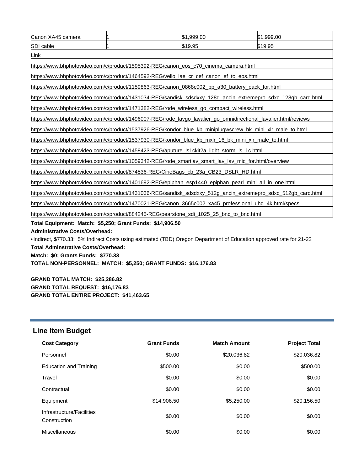| Canon XA45 camera                                                                                                   |  | \$1,999.00 | \$1,999.00 |
|---------------------------------------------------------------------------------------------------------------------|--|------------|------------|
| SDI cable                                                                                                           |  | \$19.95    | \$19.95    |
| Link                                                                                                                |  |            |            |
| https://www.bhphotovideo.com/c/product/1595392-REG/canon_eos_c70_cinema_camera.html                                 |  |            |            |
| https://www.bhphotovideo.com/c/product/1464592-REG/vello_lae_cr_cef_canon_ef_to_eos.html                            |  |            |            |
| https://www.bhphotovideo.com/c/product/1159863-REG/canon_0868c002_bp_a30_battery_pack_for.html                      |  |            |            |
| https://www.bhphotovideo.com/c/product/1431034-REG/sandisk_sdsdxxy_128g_ancin_extremepro_sdxc_128gb_card.html       |  |            |            |
| https://www.bhphotovideo.com/c/product/1471382-REG/rode_wireless_go_compact_wireless.html                           |  |            |            |
| https://www.bhphotovideo.com/c/product/1496007-REG/rode_lavgo_lavalier_go_omnidirectional_lavalier.html/reviews     |  |            |            |
| https://www.bhphotovideo.com/c/product/1537926-REG/kondor_blue_kb_miniplugwscrew_bk_mini_xlr_male_to.html           |  |            |            |
| https://www.bhphotovideo.com/c/product/1537930-REG/kondor_blue_kb_mxlr_16_bk_mini_xlr_male_to.html                  |  |            |            |
| https://www.bhphotovideo.com/c/product/1458423-REG/aputure_Is1ckit2a_light_storm_Is_1c.html                         |  |            |            |
| https://www.bhphotovideo.com/c/product/1059342-REG/rode_smartlav_smart_lav_lav_mic_for.html/overview                |  |            |            |
| https://www.bhphotovideo.com/c/product/874536-REG/CineBags_cb_23a_CB23_DSLR_HD.html                                 |  |            |            |
| https://www.bhphotovideo.com/c/product/1401692-REG/epiphan_esp1440_epiphan_pearl_mini_all_in_one.html               |  |            |            |
| https://www.bhphotovideo.com/c/product/1431036-REG/sandisk_sdsdxxy_512g_ancin_extremepro_sdxc_512gb_card.html       |  |            |            |
| https://www.bhphotovideo.com/c/product/1470021-REG/canon_3665c002_xa45_professional_uhd_4k.html/specs               |  |            |            |
| https://www.bhphotovideo.com/c/product/884245-REG/pearstone_sdi_1025_25_bnc_to_bnc.html                             |  |            |            |
| Total Equipment: Match: \$5,250; Grant Funds: \$14,906.50                                                           |  |            |            |
| <b>Administrative Costs/Overhead:</b>                                                                               |  |            |            |
| •Indirect, \$770.33: 5% Indirect Costs using estimated (TBD) Oregon Department of Education approved rate for 21-22 |  |            |            |
| <b>Total Adminstrative Costs/Overhead:</b>                                                                          |  |            |            |
| Match: \$0; Grants Funds: \$770.33                                                                                  |  |            |            |
| TOTAL NON-PERSONNEL: MATCH: \$5,250; GRANT FUNDS: \$16,176.83                                                       |  |            |            |
|                                                                                                                     |  |            |            |
| <b>GRAND TOTAL MATCH: \$25,286.82</b>                                                                               |  |            |            |

## **GRAND TOTAL REQUEST: \$16,176.83 GRAND TOTAL ENTIRE PROJECT: \$41,463.65**

# **Line Item Budget**

| <b>Cost Category</b>                      | <b>Grant Funds</b> | <b>Match Amount</b> | <b>Project Total</b> |
|-------------------------------------------|--------------------|---------------------|----------------------|
| Personnel                                 | \$0.00             | \$20,036.82         | \$20,036.82          |
| Education and Training                    | \$500.00           | \$0.00              | \$500.00             |
| Travel                                    | \$0.00             | \$0.00              | \$0.00               |
| Contractual                               | \$0.00             | \$0.00              | \$0.00               |
| Equipment                                 | \$14,906.50        | \$5,250.00          | \$20,156.50          |
| Infrastructure/Facilities<br>Construction | \$0.00             | \$0.00              | \$0.00               |
| Miscellaneous                             | \$0.00             | \$0.00              | \$0.00               |